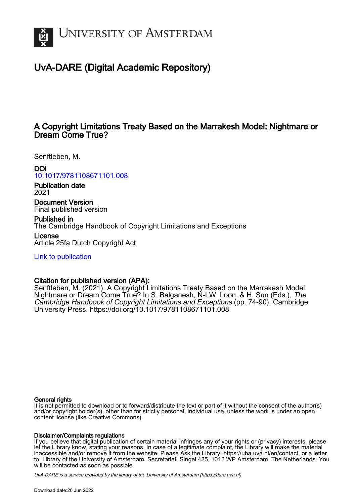

# UvA-DARE (Digital Academic Repository)

## A Copyright Limitations Treaty Based on the Marrakesh Model: Nightmare or Dream Come True?

Senftleben, M.

## DOI

[10.1017/9781108671101.008](https://doi.org/10.1017/9781108671101.008)

Publication date 2021

Document Version Final published version

Published in The Cambridge Handbook of Copyright Limitations and Exceptions

License Article 25fa Dutch Copyright Act

[Link to publication](https://dare.uva.nl/personal/pure/en/publications/a-copyright-limitations-treaty-based-on-the-marrakesh-model-nightmare-or-dream-come-true(dc1d0b84-45fc-4a4d-8324-ceb8c6d906b8).html)

## Citation for published version (APA):

Senftleben, M. (2021). A Copyright Limitations Treaty Based on the Marrakesh Model: Nightmare or Dream Come True? In S. Balganesh, N-LW. Loon, & H. Sun (Eds.), The Cambridge Handbook of Copyright Limitations and Exceptions (pp. 74-90). Cambridge University Press.<https://doi.org/10.1017/9781108671101.008>

## General rights

It is not permitted to download or to forward/distribute the text or part of it without the consent of the author(s) and/or copyright holder(s), other than for strictly personal, individual use, unless the work is under an open content license (like Creative Commons).

## Disclaimer/Complaints regulations

If you believe that digital publication of certain material infringes any of your rights or (privacy) interests, please let the Library know, stating your reasons. In case of a legitimate complaint, the Library will make the material inaccessible and/or remove it from the website. Please Ask the Library: https://uba.uva.nl/en/contact, or a letter to: Library of the University of Amsterdam, Secretariat, Singel 425, 1012 WP Amsterdam, The Netherlands. You will be contacted as soon as possible.

UvA-DARE is a service provided by the library of the University of Amsterdam (http*s*://dare.uva.nl)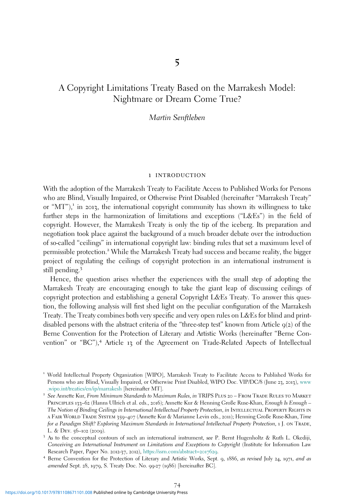## A Copyright Limitations Treaty Based on the Marrakesh Model: Nightmare or Dream Come True?

#### Martin Senftleben

#### 1 introduction

With the adoption of the Marrakesh Treaty to Facilitate Access to Published Works for Persons who are Blind, Visually Impaired, or Otherwise Print Disabled (hereinafter "Marrakesh Treaty" or " $MT$ "),<sup>1</sup> in 2013, the international copyright community has shown its willingness to take further steps in the harmonization of limitations and exceptions ("L&Es") in the field of copyright. However, the Marrakesh Treaty is only the tip of the iceberg. Its preparation and negotiation took place against the background of a much broader debate over the introduction of so-called "ceilings" in international copyright law: binding rules that set a maximum level of permissible protection.<sup>2</sup> While the Marrakesh Treaty had success and became reality, the bigger project of regulating the ceilings of copyright protection in an international instrument is still pending.<sup>3</sup>

Hence, the question arises whether the experiences with the small step of adopting the Marrakesh Treaty are encouraging enough to take the giant leap of discussing ceilings of copyright protection and establishing a general Copyright L&Es Treaty. To answer this question, the following analysis will first shed light on the peculiar configuration of the Marrakesh Treaty. The Treaty combines both very specific and very open rules on L&Es for blind and printdisabled persons with the abstract criteria of the "three-step test" known from Article  $q(z)$  of the Berne Convention for the Protection of Literary and Artistic Works (hereinafter "Berne Convention" or "BC"),<sup>4</sup> Article 13 of the Agreement on Trade-Related Aspects of Intellectual

<sup>1</sup> World Intellectual Property Organization [WIPO], Marrakesh Treaty to Facilitate Access to Published Works for Persons who are Blind, Visually Impaired, or Otherwise Print Disabled, WIPO Doc. VIP/DC/8 (June 23, 2013), [www](http://www.wipo.int/treaties/en/ip/marrakesh) [.wipo.int/treaties/en/ip/marrakesh](http://www.wipo.int/treaties/en/ip/marrakesh) [hereinafter MT]. <sup>2</sup> See Annette Kur, From Minimum Standards to Maximum Rules, in TRIPS Plus 20 – From Trade Rules to Market

Principles 133–62 (Hanns Ullrich et al. eds., 2016); Annette Kur & Henning Große Ruse-Khan, Enough Is Enough – The Notion of Binding Ceilings in International Intellectual Property Protection, in INTELLECTUAL PROPERTY RIGHTS IN a Fair World Trade System 359–407 (Annette Kur & Marianne Levin eds., 2011); Henning Große Ruse-Khan, Time for a Paradigm Shift? Exploring Maximum Standards in International Intellectual Property Protection, 1 J. ON TRADE, L. & Dev. 56–<sup>102</sup> (2009). <sup>3</sup> As to the conceptual contours of such an international instrument, see P. Bernt Hugenholtz & Ruth L. Okediji,

Conceiving an International Instrument on Limitations and Exceptions to Copyright (Institute for Information Law Research Paper, Paper No. 2012-37, 2012), https://ssm.com/abstract=2017629.<br>4 Berne Convention for the Protection of Literary and Artistic Works, Sept. 9, 1886, *as revised* July 24, 1971, *and as* 

amended Sept. 28, 1979, S. Treaty Doc. No. 99-27 (1986) [hereinafter BC].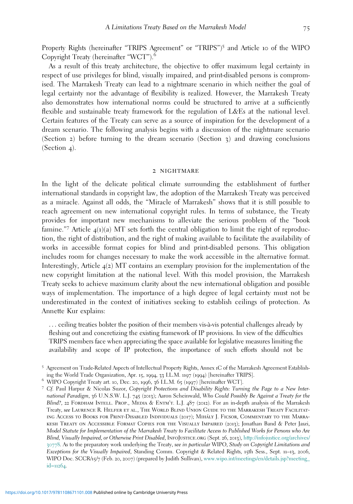Property Rights (hereinafter "TRIPS Agreement" or "TRIPS")<sup>5</sup> and Article 10 of the WIPO Copyright Treaty (hereinafter "WCT").<sup>6</sup>

As a result of this treaty architecture, the objective to offer maximum legal certainty in respect of use privileges for blind, visually impaired, and print-disabled persons is compromised. The Marrakesh Treaty can lead to a nightmare scenario in which neither the goal of legal certainty nor the advantage of flexibility is realized. However, the Marrakesh Treaty also demonstrates how international norms could be structured to arrive at a sufficiently flexible and sustainable treaty framework for the regulation of L&Es at the national level. Certain features of the Treaty can serve as a source of inspiration for the development of a dream scenario. The following analysis begins with a discussion of the nightmare scenario (Section 2) before turning to the dream scenario (Section 3) and drawing conclusions (Section 4).

#### 2 nightmare

In the light of the delicate political climate surrounding the establishment of further international standards in copyright law, the adoption of the Marrakesh Treaty was perceived as a miracle. Against all odds, the "Miracle of Marrakesh" shows that it is still possible to reach agreement on new international copyright rules. In terms of substance, the Treaty provides for important new mechanisms to alleviate the serious problem of the "book famine."<sup>7</sup> Article 4(1)(a) MT sets forth the central obligation to limit the right of reproduction, the right of distribution, and the right of making available to facilitate the availability of works in accessible format copies for blind and print-disabled persons. This obligation includes room for changes necessary to make the work accessible in the alternative format. Interestingly, Article 4(2) MT contains an exemplary provision for the implementation of the new copyright limitation at the national level. With this model provision, the Marrakesh Treaty seeks to achieve maximum clarity about the new international obligation and possible ways of implementation. The importance of a high degree of legal certainty must not be underestimated in the context of initiatives seeking to establish ceilings of protection. As Annette Kur explains:

... ceiling treaties bolster the position of their members vis-à-vis potential challenges already by fleshing out and concretizing the existing framework of IP provisions. In view of the difficulties TRIPS members face when appreciating the space available for legislative measures limiting the availability and scope of IP protection, the importance of such efforts should not be

<sup>5</sup> Agreement on Trade-Related Aspects of Intellectual Property Rights, Annex <sup>1</sup>C of the Marrakesh Agreement Establish-

<sup>&</sup>lt;sup>6</sup> WIPO Copyright Treaty art. 10, Dec. 20, 1996, 36 I.L.M. 65 (1997) [hereinafter WCT].<br>7 Cf. Paul Harpur & Nicolas Suzor, Copyright Protections and Disability Rights: Turning the Page to a New International Paradigm, 36 U.N.S.W. L.J. 745 (2013); Aaron Scheinwald, Who Could Possibly Be Against a Treaty for the Blind?, 22 FORDHAM INTELL. PROP., MEDIA & ENTM'T. L.J.  $487$  (2012). For an in-depth analysis of the Marrakesh Treaty, see Laurence R. Helfer et al., The World Blind Union Guide to the Marrakesh Treaty Facilitating Access to Books for Print-Disabled Individuals (2017); Miha´ly J. Ficsor, Commentary to the Marrakesh Treaty on Accessible Format Copies for the Visually Impaired (2013); Jonathan Band & Peter Jaszi, Model Statute for Implementation of the Marrakesh Treaty to Facilitate Access to Published Works for Persons who Are Blind, Visually Impaired, or Otherwise Print Disabled, InfoJustice.org (Sept. 26, 2013), [http://infojustice.org/archives/](http://infojustice.org/archives/30778) [30778](http://infojustice.org/archives/30778). As to the preparatory work underlying the Treaty, see in particular WIPO, Study on Copyright Limitations and Exceptions for the Visually Impaired, Standing Comm. Copyright & Related Rights, 15th Sess., Sept. 11–13, 2006, WIPO Doc. SCCR/15/7 (Feb. 20, 2007) (prepared by Judith Sullivan), [www.wipo.int/meetings/en/details.jsp?meeting\\_](http://www.wipo.int/meetings/en/details.jsp?meeting_id=11264) id=[11264](http://www.wipo.int/meetings/en/details.jsp?meeting_id=11264).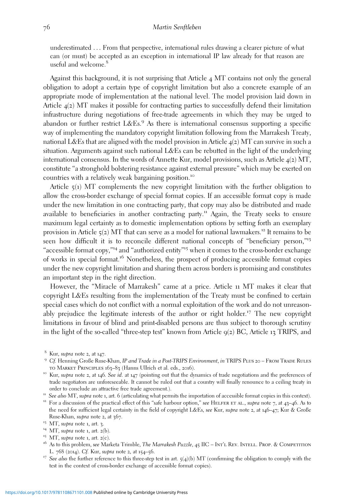underestimated ... From that perspective, international rules drawing a clearer picture of what can (or must) be accepted as an exception in international IP law already for that reason are useful and welcome.<sup>8</sup>

Against this background, it is not surprising that Article 4 MT contains not only the general obligation to adopt a certain type of copyright limitation but also a concrete example of an appropriate mode of implementation at the national level. The model provision laid down in Article 4(2) MT makes it possible for contracting parties to successfully defend their limitation infrastructure during negotiations of free-trade agreements in which they may be urged to abandon or further restrict  $L&Es<sup>9</sup>$  As there is international consensus supporting a specific way of implementing the mandatory copyright limitation following from the Marrakesh Treaty, national L&Es that are aligned with the model provision in Article  $4(2)$  MT can survive in such a situation. Arguments against such national L&Es can be rebutted in the light of the underlying international consensus. In the words of Annette Kur, model provisions, such as Article  $\mathcal{A}(2)$  MT, constitute "a stronghold bolstering resistance against external pressure" which may be exerted on countries with a relatively weak bargaining position.<sup>10</sup>

Article 5(1) MT complements the new copyright limitation with the further obligation to allow the cross-border exchange of special format copies. If an accessible format copy is made under the new limitation in one contracting party, that copy may also be distributed and made available to beneficiaries in another contracting party.<sup>11</sup> Again, the Treaty seeks to ensure maximum legal certainty as to domestic implementation options by setting forth an exemplary provision in Article  $\varsigma$ (2) MT that can serve as a model for national lawmakers.<sup>12</sup> It remains to be seen how difficult it is to reconcile different national concepts of "beneficiary person,"<sup>13</sup> "accessible format copy," <sup>14</sup> and "authorized entity" <sup>15</sup> when it comes to the cross-border exchange of works in special format.<sup>16</sup> Nonetheless, the prospect of producing accessible format copies under the new copyright limitation and sharing them across borders is promising and constitutes an important step in the right direction.

However, the "Miracle of Marrakesh" came at a price. Article 11 MT makes it clear that copyright L&Es resulting from the implementation of the Treaty must be confined to certain special cases which do not conflict with a normal exploitation of the work and do not unreasonably prejudice the legitimate interests of the author or right holder.<sup>17</sup> The new copyright limitations in favour of blind and print-disabled persons are thus subject to thorough scrutiny in the light of the so-called "three-step test" known from Article  $q(z)$  BC, Article 13 TRIPS, and

- 
- 
- L. 768 (2014). Cf. Kur, supra note 2, at 154–56.<br><sup>17</sup> See also the further reference to this three-step test in art. 5(4)(b) MT (confirming the obligation to comply with the
- test in the context of cross-border exchange of accessible format copies).

<sup>&</sup>lt;sup>8</sup> Kur, *supra* note 2, at 147.<br><sup>9</sup> Cf. Henning Große Ruse-Khan, *IP and Trade in a Post-TRIPS Environment*, *in* TRIPS PLUS 20 – From Trade Rules TO MARKET PRINCIPLES 163–83 (Hanns Ullrich et al. eds., 2016).<br><sup>10</sup> Kur, supra note 2, at 146. See id. at 147 (pointing out that the dynamics of trade negotiations and the preferences of

trade negotiators are unforeseeable. It cannot be ruled out that a country will finally renounce to a ceiling treaty in

order to conclude an attractive free trade agreement.).<br><sup>11</sup> See also MT, supra note 1, art. 6 (articulating what permits the importation of accessible format copies in this context).<br><sup>12</sup> For a discussion of the practical the need for sufficient legal certainty in the field of copyright L&Es, see Kur, supra note 2, at 146–47; Kur & Große Ruse-Khan, *supra* note 2, at 367.<br><sup>13</sup> MT, *supra* note 1, art. 3.<br><sup>14</sup> MT, *supra* note 1, art. 2(b).<br><sup>15</sup> MT, *supra* note 1, art. 2(c).<br><sup>15</sup> MT, *supra* note 1, art. 2(c).<br><sup>16</sup> As to this problem, *see* Marketa Trimble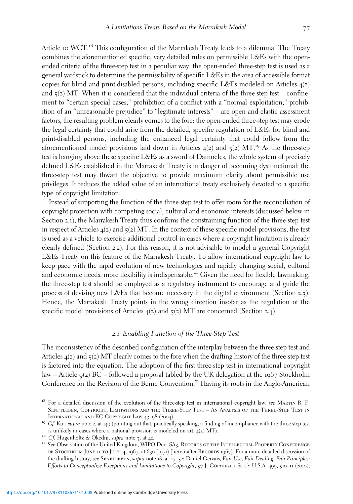Article 10 WCT.<sup>18</sup> This configuration of the Marrakesh Treaty leads to a dilemma. The Treaty combines the aforementioned specific, very detailed rules on permissible L&Es with the openended criteria of the three-step test in a peculiar way: the open-ended three-step test is used as a general yardstick to determine the permissibility of specific L&Es in the area of accessible format copies for blind and print-disabled persons, including specific L&Es modeled on Articles  $4(2)$ and  $5(2)$  MT. When it is considered that the individual criteria of the three-step test – confinement to "certain special cases," prohibition of a conflict with a "normal exploitation," prohibition of an "unreasonable prejudice" to "legitimate interests" – are open and elastic assessment factors, the resulting problem clearly comes to the fore: the open-ended three-step test may erode the legal certainty that could arise from the detailed, specific regulation of L&Es for blind and print-disabled persons, including the enhanced legal certainty that could follow from the aforementioned model provisions laid down in Articles  $\mathcal{A}(2)$  and  $\mathcal{A}(2)$  MT.<sup>19</sup> As the three-step test is hanging above these specific L&Es as a sword of Damocles, the whole system of precisely defined L&Es established in the Marrakesh Treaty is in danger of becoming dysfunctional: the three-step test may thwart the objective to provide maximum clarity about permissible use privileges. It reduces the added value of an international treaty exclusively devoted to a specific type of copyright limitation.

Instead of supporting the function of the three-step test to offer room for the reconciliation of copyright protection with competing social, cultural and economic interests (discussed below in Section 2.1), the Marrakesh Treaty thus confirms the constraining function of the three-step test in respect of Articles  $4(2)$  and  $5(2)$  MT. In the context of these specific model provisions, the test is used as a vehicle to exercise additional control in cases where a copyright limitation is already clearly defined (Section 2.2). For this reason, it is not advisable to model a general Copyright L&Es Treaty on this feature of the Marrakesh Treaty. To allow international copyright law to keep pace with the rapid evolution of new technologies and rapidly changing social, cultural and economic needs, more flexibility is indispensable.<sup>20</sup> Given the need for flexible lawmaking, the three-step test should be employed as a regulatory instrument to encourage and guide the process of devising new L&Es that become necessary in the digital environment (Section 2.3). Hence, the Marrakesh Treaty points in the wrong direction insofar as the regulation of the specific model provisions of Articles  $4(2)$  and  $5(2)$  MT are concerned (Section 2.4).

#### *2*.*1* Enabling Function of the Three-Step Test

The inconsistency of the described configuration of the interplay between the three-step test and Articles  $4(2)$  and  $5(2)$  MT clearly comes to the fore when the drafting history of the three-step test is factored into the equation. The adoption of the first three-step test in international copyright law – Article  $q(z)$  BC – followed a proposal tabled by the UK delegation at the 1967 Stockholm Conference for the Revision of the Berne Convention.<sup>21</sup> Having its roots in the Anglo-American

 $18$  For a detailed discussion of the evolution of the three-step test in international copyright law, see MARTIN R. F. Senftleben, Copyright, Limitations and the Three-Step Test – An Analysis of the Three-Step Test in INTERNATIONAL AND EC COPYRIGHT LAW 43–98 (2004). <sup>19</sup> Cf. Kur, supra note 2, at 149 (pointing out that, practically speaking, a finding of incompliance with the three-step test

is unlikely in cases where a national provision is modeled on art.  $4(2)$  MT).<br><sup>20</sup> Cf. Hugenholtz & Okediji, *supra* note 3, at 42.<br><sup>21</sup> See Observation of the United Kingdom, WIPO Doc. S/13, RECORDS OF THE INTELLECTUAL

of Stockholm June 11 to July 14, 1967, at 630 (1971) [hereinafter Records 1967]. For a more detailed discussion of the drafting history, see SENFTLEBEN, supra note 18, at 47-52; Daniel Gervais, Fair Use, Fair Dealing, Fair Principles: Efforts to Conceptualize Exceptions and Limitations to Copyright, 57 J. COPYRIGHT Soc'y U.S.A. 499, 510–11 (2010);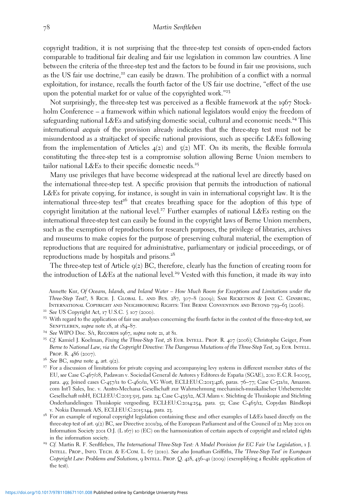copyright tradition, it is not surprising that the three-step test consists of open-ended factors comparable to traditional fair dealing and fair use legislation in common law countries. A line between the criteria of the three-step test and the factors to be found in fair use provisions, such as the US fair use doctrine, $2^2$  can easily be drawn. The prohibition of a conflict with a normal exploitation, for instance, recalls the fourth factor of the US fair use doctrine, "effect of the use upon the potential market for or value of the copyrighted work." 23

Not surprisingly, the three-step test was perceived as a flexible framework at the 1967 Stockholm Conference – a framework within which national legislators would enjoy the freedom of safeguarding national L&Es and satisfying domestic social, cultural and economic needs.<sup>24</sup> This international acquis of the provision already indicates that the three-step test must not be misunderstood as a straitjacket of specific national provisions, such as specific L&Es following from the implementation of Articles  $4(2)$  and  $5(2)$  MT. On its merits, the flexible formula constituting the three-step test is a compromise solution allowing Berne Union members to tailor national L&Es to their specific domestic needs.<sup>25</sup>

Many use privileges that have become widespread at the national level are directly based on the international three-step test. A specific provision that permits the introduction of national L&Es for private copying, for instance, is sought in vain in international copyright law. It is the international three-step test<sup>26</sup> that creates breathing space for the adoption of this type of copyright limitation at the national level.<sup>27</sup> Further examples of national L&Es resting on the international three-step test can easily be found in the copyright laws of Berne Union members, such as the exemption of reproductions for research purposes, the privilege of libraries, archives and museums to make copies for the purpose of preserving cultural material, the exemption of reproductions that are required for administrative, parliamentary or judicial proceedings, or of reproductions made by hospitals and prisons.<sup>28</sup>

The three-step test of Article  $q(z)$  BC, therefore, clearly has the function of creating room for the introduction of L&Es at the national level.<sup>29</sup> Vested with this function, it made its way into

Annette Kur, Of Oceans, Islands, and Inland Water – How Much Room for Exceptions and Limitations under the Three-Step Test?, 8 Rich. J. Global L. and Bus. 287, 307–8 (2009); Sam Ricketson & Jane C. Ginsburg, INTERNATIONAL COPYRIGHT AND NEIGHBOURING RIGHTS: THE BERNE CONVENTION AND BEYOND 759–63 (2006).<br><sup>22</sup> See US Copyright Act, 17 U.S.C.  $\int$  107 (2000).<br><sup>23</sup> With regard to the application of fair use analyses concerning the

- 
- SENFTLEBEN, supra note 18, at 184–87.<br><sup>24</sup> See WIPO Doc. S/1, RECORDS 1967, supra note 21, at 81.<br><sup>25</sup> Cf. Kamiel J. Koelman, Fixing the Three-Step Test, 28 EUR. INTELL. PROP. R. 407 (2006); Christophe Geiger, From
- 
- Berne to National Law, via the Copyright Directive: The Dangerous Mutations of the Three-Step Test, 29 Eur. INTELL. Prop. R. 486 (2007).<br><sup>26</sup> See BC, supra note 4, art. 9(2).<br><sup>27</sup> For a discussion of limitations for private copying and accompanying levy systems in different member states of the
- 
- EU, see Case C-467/08, Padawan v. Sociedad General de Autores y Editores de España (SGAE), 2010 E.C.R. I-10055, bee DC, supra note 4, att. 9(2).<br>For a discussion of limitations for private copying and accompanying levy systems in different member states of the<br>EU, see Case C-467/08, Padawan v. Sociedad General de Autores y Editores com Int'l Sales, Inc. v. Austro-Mechana Gesellschaft zur Wahrnehmung mechanisch-musikalischer Urheberrechte Gesellschaft mbH, ECLI:EU:C:2013:515, para. 24; Case C-435/12, ACI Adam v. Stichting de Thuiskopie and Stichting Onderhandelingen Thuiskopie vergoeding, ECLI:EU:C:2014:254, para. 52; Case C-463/12, Copydan Båndkopi v. Nokia Danmark A/S, ECLI:EU:C:2015:144, para. 23.<br><sup>28</sup> For an example of regional copyright legislation containing these and other examples of L&Es based directly on the
- three-step test of art. 9(2) BC, see Directive 2001/29, of the European Parliament and of the Council of 22 May 2001 on Information Society 2001 O.J. (L 167) 10 (EC) on the harmonization of certain aspects of copyright and related rights in the information society.<br><sup>29</sup> Cf. Martin R. F. Senftleben, *The International Three-Step Test: A Model Provision for EC Fair Use Legislation*, 1 J.
- Intell. Prop., Info. Tech. & E-Com. L. 67 (2010). See also Jonathan Griffiths, The 'Three-Step Test' in European Copyright Law: Problems and Solutions, 9 Intell. Prop. Q. 428, 436–41 (2009) (exemplifying a flexible application of the test).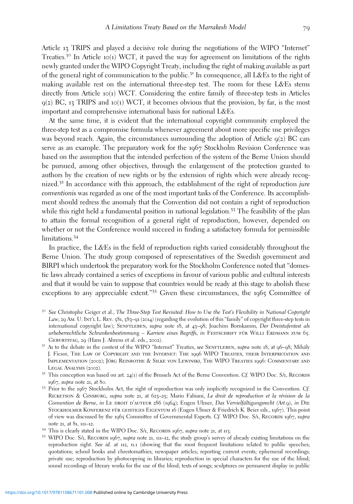Article 13 TRIPS and played a decisive role during the negotiations of the WIPO "Internet" Treaties.<sup>30</sup> In Article 10(1) WCT, it paved the way for agreement on limitations of the rights newly granted under the WIPO Copyright Treaty, including the right of making available as part of the general right of communication to the public.<sup>31</sup> In consequence, all L&Es to the right of making available rest on the international three-step test. The room for these L&Es stems directly from Article 10(1) WCT. Considering the entire family of three-step tests in Articles  $9(2)$  BC, 13 TRIPS and 10(1) WCT, it becomes obvious that the provision, by far, is the most important and comprehensive international basis for national L&Es.

At the same time, it is evident that the international copyright community employed the three-step test as a compromise formula whenever agreement about more specific use privileges was beyond reach. Again, the circumstances surrounding the adoption of Article  $q(z)$  BC can serve as an example. The preparatory work for the 1967 Stockholm Revision Conference was based on the assumption that the intended perfection of the system of the Berne Union should be pursued, among other objectives, through the enlargement of the protection granted to authors by the creation of new rights or by the extension of rights which were already recognized.<sup>32</sup> In accordance with this approach, the establishment of the right of reproduction *jure* conventionis was regarded as one of the most important tasks of the Conference. Its accomplishment should redress the anomaly that the Convention did not contain a right of reproduction while this right held a fundamental position in national legislation.<sup>33</sup> The feasibility of the plan to attain the formal recognition of a general right of reproduction, however, depended on whether or not the Conference would succeed in finding a satisfactory formula for permissible limitations.<sup>34</sup>

In practice, the L&Es in the field of reproduction rights varied considerably throughout the Berne Union. The study group composed of representatives of the Swedish government and BIRPI which undertook the preparatory work for the Stockholm Conference noted that "domestic laws already contained a series of exceptions in favour of various public and cultural interests and that it would be vain to suppose that countries would be ready at this stage to abolish these exceptions to any appreciable extent."35 Given these circumstances, the 1965 Committee of

- <sup>30</sup> See Christophe Geiger et al., The Three-Step Test Revisited: How to Use the Test's Flexibility in National Copyright Law, 29 Am. U. INT'L L. REV.  $581, 583-91$  (2014) (regarding the evolution of this "family" of copyright three-step tests in international copyright law); SENFTLEBEN, supra note 18, at 43-98; Joachim Bornkamm, Der Dreistufentest als urheberrechtliche Schrankenbestimmung – Karriere eines Begriffs, in FESTSCHRIFT FÜR WILLI ERDMANN ZUM 65. GEBURTSTAG, 29 (Hans J. Ahrens et al. eds., 2002).<br><sup>31</sup> As to the debate in the context of the WIPO "Internet" Treaties, *see* SENFTLEBEN, *supra* note 18, at 96–98; Mihály
- J. Ficsor, The Law of Copyright and the Internet: The 1996 WIPO Treaties, their Interpretation and IMPLEMENTATION (2002); JÖRG REINBOTHE & SILKE VON LEWINSKI, THE WIPO TREATIES 1996: COMMENTARY AND LEGAL ANALYSIS (2002).<br><sup>32</sup> This conception was based on art. 24(1) of the Brussels Act of the Berne Convention. Cf. WIPO Doc. S/1, RECORDS
- 1967, supra note 21, at 80.<br><sup>33</sup> Prior to the 1967 Stockholm Act, the right of reproduction was only implicitly recognized in the Convention. Cf.
- Ricketson & Ginsburg, supra note 21, at 623–25; Mario Fabiani, Le droit de reproduction et la révision de la Convention de Berne, in LE DROIT D'AUTEUR 286 (1964); Eugen Ulmer, Das Vervielfältigungsrecht (Art.9), in DIE STOCKHOLMER KONFERENZ FÜR GEISTIGES EIGENTUM 16 (Eugen Ulmer & Friedrich K. Beier eds., 1967). This point of view was discussed by the 1965 Committee of Governmental Experts. Cf. WIPO Doc. S/1, RECORDS 1967, supra
- 
- note 21, at 81, 111–12.<br><sup>34</sup> This is clearly stated in the WIPO Doc. S/1, RECORDS 1967, *supra* note 21, at 113.<br><sup>35</sup> WIPO Doc. S/1, RECORDS 1967, *supra* note 21, 111–12, the study group's survey of already existing limit reproduction right. See id. at 112, n.1 (showing that the most frequent limitations related to public speeches; quotations; school books and chrestomathies; newspaper articles; reporting current events; ephemeral recordings; private use; reproduction by photocopying in libraries; reproduction in special characters for the use of the blind; sound recordings of literary works for the use of the blind; texts of songs; sculptures on permanent display in public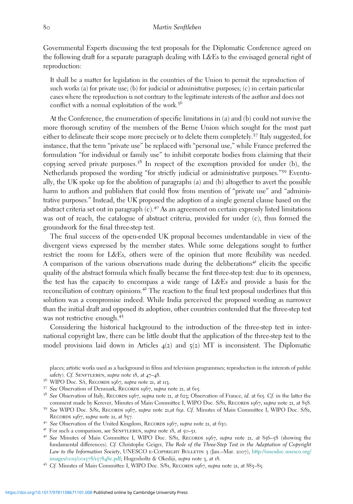Governmental Experts discussing the text proposals for the Diplomatic Conference agreed on the following draft for a separate paragraph dealing with L&Es to the envisaged general right of reproduction:

It shall be a matter for legislation in the countries of the Union to permit the reproduction of such works (a) for private use; (b) for judicial or administrative purposes; (c) in certain particular cases where the reproduction is not contrary to the legitimate interests of the author and does not conflict with a normal exploitation of the work.<sup>36</sup>

At the Conference, the enumeration of specific limitations in (a) and (b) could not survive the more thorough scrutiny of the members of the Berne Union which sought for the most part either to delineate their scope more precisely or to delete them completely.<sup>37</sup> Italy suggested, for instance, that the term "private use" be replaced with "personal use," while France preferred the formulation "for individual or family use" to inhibit corporate bodies from claiming that their copying served private purposes.<sup>38</sup> In respect of the exemption provided for under (b), the Netherlands proposed the wording "for strictly judicial or administrative purposes." <sup>39</sup> Eventually, the UK spoke up for the abolition of paragraphs (a) and (b) altogether to avert the possible harm to authors and publishers that could flow from mention of "private use" and "administrative purposes." Instead, the UK proposed the adoption of a single general clause based on the abstract criteria set out in paragraph  $(c)$ .<sup>40</sup> As an agreement on certain expressly listed limitations was out of reach, the catalogue of abstract criteria, provided for under (c), thus formed the groundwork for the final three-step test.

The final success of the open-ended UK proposal becomes understandable in view of the divergent views expressed by the member states. While some delegations sought to further restrict the room for L&Es, others were of the opinion that more flexibility was needed. A comparison of the various observations made during the deliberations<sup>41</sup> elicits the specific quality of the abstract formula which finally became the first three-step test: due to its openness, the test has the capacity to encompass a wide range of L&Es and provide a basis for the reconciliation of contrary opinions.<sup>42</sup> The reaction to the final text proposal underlines that this solution was a compromise indeed. While India perceived the proposed wording as narrower than the initial draft and opposed its adoption, other countries contended that the three-step test was not restrictive enough.<sup>43</sup>

Considering the historical background to the introduction of the three-step test in international copyright law, there can be little doubt that the application of the three-step test to the model provisions laid down in Articles  $4(2)$  and  $5(2)$  MT is inconsistent. The Diplomatic

places; artistic works used as a background in films and television programmes; reproduction in the interests of public safety). Cf. SENFTLEBEN, supra note 18, at 47–48.<br><sup>36</sup> WIPO Doc. S/1, RECORDS 1967, supra note 21, at 113.<br><sup>37</sup> See Observation of Denmark, RECORDS 1967, supra note 21, at 615.<br><sup>38</sup> See Observation of Italy, RECORDS 1967,

comment made by Kerever, Minutes of Main Committee I, WIPO Doc. S/81, Records 1967, supra note 21, at 858. 39 See WIPO Doc. S/81, Records 1967, supra note 21,at 691. Cf. Minutes of Main Committee I, WIPO Doc. S/81,

RECORDS 1967, *supra* note 21, at 857.<br><sup>40</sup> See Observation of the United Kingdom, RECORDS 1967, *supra* note 21, at 630.<br><sup>41</sup> For such a comparison, *see* SENFTLEBEN, *supra* note 18, at 50–51.<br><sup>42</sup> See Minutes of Main Co

fundamental differences). Cf. Christophe Geiger, The Role of the Three-Step Test in the Adaptation of Copyright Law to the Information Society, UNESCO E-COPYRIGHT BULLETIN 3 (Jan.–Mar. 2007), [http://unesdoc.unesco.org/](http://unesdoc.unesco.org/images/0015/001578/157848e.pdf) [images/](http://unesdoc.unesco.org/images/0015/001578/157848e.pdf)0015/001578/157848e.pdf; Hugenholtz & Okediji, supra note 3, at 18.<br><sup>43</sup> Cf. Minutes of Main Committee I, WIPO Doc. S/81, RECORDS 1967, supra note 21, at 883–85.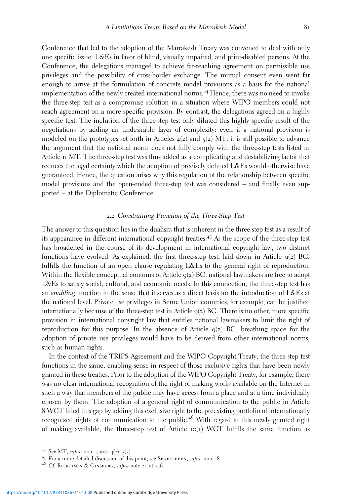Conference that led to the adoption of the Marrakesh Treaty was convened to deal with only one specific issue: L&Es in favor of blind, visually impaired, and print-disabled persons. At the Conference, the delegations managed to achieve far-reaching agreement on permissible use privileges and the possibility of cross-border exchange. The mutual consent even went far enough to arrive at the formulation of concrete model provisions as a basis for the national implementation of the newly created international norms.<sup>44</sup> Hence, there was no need to invoke the three-step test as a compromise solution in a situation where WIPO members could not reach agreement on a more specific provision. By contrast, the delegations agreed on a highly specific text. The inclusion of the three-step test only diluted this highly specific result of the negotiations by adding an undesirable layer of complexity: even if a national provision is modeled on the prototypes set forth in Articles  $4(2)$  and  $5(2)$  MT, it is still possible to advance the argument that the national norm does not fully comply with the three-step tests listed in Article 11 MT. The three-step test was thus added as a complicating and destabilizing factor that reduces the legal certainty which the adoption of precisely defined L&Es would otherwise have guaranteed. Hence, the question arises why this regulation of the relationship between specific model provisions and the open-ended three-step test was considered – and finally even supported – at the Diplomatic Conference.

#### *2*.*2* Constraining Function of the Three-Step Test

The answer to this question lies in the dualism that is inherent in the three-step test as a result of its appearance in different international copyright treaties.<sup>45</sup> As the scope of the three-step test has broadened in the course of its development in international copyright law, two distinct functions have evolved. As explained, the first three-step test, laid down in Article  $q(z)$  BC, fulfills the function of an open clause regulating L&Es to the general right of reproduction. Within the flexible conceptual contours of Article 9(2) BC, national lawmakers are free to adopt L&Es to satisfy social, cultural, and economic needs. In this connection, the three-step test has an enabling function in the sense that it serves as a direct basis for the introduction of L&Es at the national level. Private use privileges in Berne Union countries, for example, can be justified internationally because of the three-step test in Article  $q(z)$  BC. There is no other, more specific provision in international copyright law that entitles national lawmakers to limit the right of reproduction for this purpose. In the absence of Article  $q(z)$  BC, breathing space for the adoption of private use privileges would have to be derived from other international norms, such as human rights.

In the context of the TRIPS Agreement and the WIPO Copyright Treaty, the three-step test functions in the same, enabling sense in respect of those exclusive rights that have been newly granted in these treaties. Prior to the adoption of the WIPO Copyright Treaty, for example, there was no clear international recognition of the right of making works available on the Internet in such a way that members of the public may have access from a place and at a time individually chosen by them. The adoption of a general right of communication to the public in Article 8 WCT filled this gap by adding this exclusive right to the preexisting portfolio of internationally recognized rights of communication to the public.<sup>46</sup> With regard to this newly granted right of making available, the three-step test of Article  $10(1)$  WCT fulfills the same function as

<sup>&</sup>lt;sup>44</sup> See MT, supra note 1, arts.  $4(2)$ ,  $5(2)$ .<br><sup>45</sup> For a more detailed discussion of this point, see SENFTLEBEN, supra note 18.<br><sup>46</sup> Cf. RICKETSON & GINSBURG, supra note 21, at 746.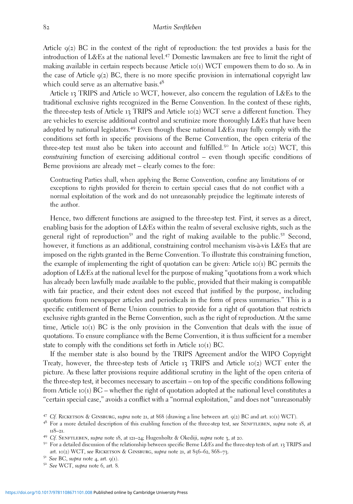Article  $q(z)$  BC in the context of the right of reproduction: the test provides a basis for the introduction of L&Es at the national level.<sup>47</sup> Domestic lawmakers are free to limit the right of making available in certain respects because Article  $10(1)$  WCT empowers them to do so. As in the case of Article  $q(z)$  BC, there is no more specific provision in international copyright law which could serve as an alternative basis.<sup>48</sup>

Article 13 TRIPS and Article 10 WCT, however, also concern the regulation of L&Es to the traditional exclusive rights recognized in the Berne Convention. In the context of these rights, the three-step tests of Article 13 TRIPS and Article 10(2) WCT serve a different function. They are vehicles to exercise additional control and scrutinize more thoroughly L&Es that have been adopted by national legislators.<sup>49</sup> Even though these national L&Es may fully comply with the conditions set forth in specific provisions of the Berne Convention, the open criteria of the three-step test must also be taken into account and fulfilled.<sup>50</sup> In Article 10(2) WCT, this constraining function of exercising additional control – even though specific conditions of Berne provisions are already met – clearly comes to the fore:

Contracting Parties shall, when applying the Berne Convention, confine any limitations of or exceptions to rights provided for therein to certain special cases that do not conflict with a normal exploitation of the work and do not unreasonably prejudice the legitimate interests of the author.

Hence, two different functions are assigned to the three-step test. First, it serves as a direct, enabling basis for the adoption of L&Es within the realm of several exclusive rights, such as the general right of reproduction<sup>51</sup> and the right of making available to the public.<sup>52</sup> Second, however, it functions as an additional, constraining control mechanism vis-à-vis L&Es that are imposed on the rights granted in the Berne Convention. To illustrate this constraining function, the example of implementing the right of quotation can be given: Article 10(1) BC permits the adoption of L&Es at the national level for the purpose of making "quotations from a work which has already been lawfully made available to the public, provided that their making is compatible with fair practice, and their extent does not exceed that justified by the purpose, including quotations from newspaper articles and periodicals in the form of press summaries." This is a specific entitlement of Berne Union countries to provide for a right of quotation that restricts exclusive rights granted in the Berne Convention, such as the right of reproduction. At the same time, Article  $10(1)$  BC is the only provision in the Convention that deals with the issue of quotations. To ensure compliance with the Berne Convention, it is thus sufficient for a member state to comply with the conditions set forth in Article 10(1) BC.

If the member state is also bound by the TRIPS Agreement and/or the WIPO Copyright Treaty, however, the three-step tests of Article 13 TRIPS and Article 10(2) WCT enter the picture. As these latter provisions require additional scrutiny in the light of the open criteria of the three-step test, it becomes necessary to ascertain – on top of the specific conditions following from Article 10(1) BC – whether the right of quotation adopted at the national level constitutes a "certain special case," avoids a conflict with a "normal exploitation," and does not "unreasonably

<sup>&</sup>lt;sup>47</sup> Cf. RICKETSON & GINSBURG, supra note 21, at 868 (drawing a line between art.  $q(z)$  BC and art. 10(1) WCT).

<sup>&</sup>lt;sup>48</sup> For a more detailed description of this enabling function of the three-step test, see SENFTLEBEN, supra note 18, at 118–21.<br><sup>49</sup> Cf. SENFTLEBEN, su*pra* note 18, at 121–24; Hugenholtz & Okediji, su*pra* note 3, at 20.<br><sup>50</sup> For a detailed discussion of the relationship between specific Berne L&Es and the three-step tests of art. 13 TRIP

art. 10(2) WCT, see RICKETSON & GINSBURG, supra note 21, at 856–62, 868–73.<br>
<sup>51</sup> See BC, supra note 4, art. 9(1).<br>
<sup>52</sup> See WCT, supra note 6, art. 8.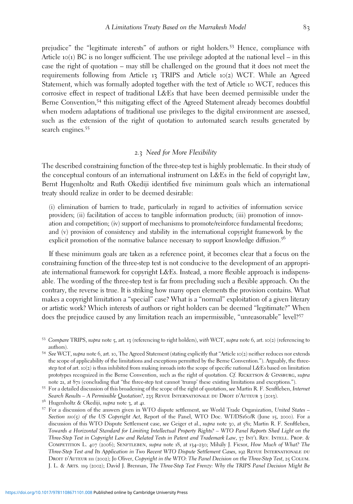prejudice" the "legitimate interests" of authors or right holders.<sup>53</sup> Hence, compliance with Article  $10(1)$  BC is no longer sufficient. The use privilege adopted at the national level – in this case the right of quotation – may still be challenged on the ground that it does not meet the requirements following from Article 13 TRIPS and Article 10(2) WCT. While an Agreed Statement, which was formally adopted together with the text of Article 10 WCT, reduces this corrosive effect in respect of traditional L&Es that have been deemed permissible under the Berne Convention,<sup>54</sup> this mitigating effect of the Agreed Statement already becomes doubtful when modern adaptations of traditional use privileges to the digital environment are assessed, such as the extension of the right of quotation to automated search results generated by search engines.<sup>55</sup>

### *2*.*3* Need for More Flexibility

The described constraining function of the three-step test is highly problematic. In their study of the conceptual contours of an international instrument on L&Es in the field of copyright law, Bernt Hugenholtz and Ruth Okediji identified five minimum goals which an international treaty should realize in order to be deemed desirable:

(i) elimination of barriers to trade, particularly in regard to activities of information service providers; (ii) facilitation of access to tangible information products; (iii) promotion of innovation and competition; (iv) support of mechanisms to promote/reinforce fundamental freedoms; and (v) provision of consistency and stability in the international copyright framework by the explicit promotion of the normative balance necessary to support knowledge diffusion.<sup>56</sup>

If these minimum goals are taken as a reference point, it becomes clear that a focus on the constraining function of the three-step test is not conducive to the development of an appropriate international framework for copyright L&Es. Instead, a more flexible approach is indispensable. The wording of the three-step test is far from precluding such a flexible approach. On the contrary, the reverse is true. It is striking how many open elements the provision contains. What makes a copyright limitation a "special" case? What is a "normal" exploitation of a given literary or artistic work? Which interests of authors or right holders can be deemed "legitimate?" When does the prejudice caused by any limitation reach an impermissible, "unreasonable" level?<sup>57</sup>

<sup>53</sup> Compare TRIPS, supra note 5, art. 13 (referencing to right holders), with WCT, supra note 6, art. 10(2) (referencing to authors).<br><sup>54</sup> See WCT, supra note 6, art. 10, The Agreed Statement (stating explicitly that "Article 10(2) neither reduces nor extends

the scope of applicability of the limitations and exceptions permitted by the Berne Convention."). Arguably, the threestep test of art. 10(2) is thus inhibited from making inroads into the scope of specific national L&Es based on limitation prototypes recognized in the Berne Convention, such as the right of quotation. Cf. RICKETSON & GINSBURG, supra note 21, at 871 (concluding that "the three-step test cannot 'trump' these existing limitations and exceptions.").<br><sup>55</sup> For a detailed discussion of this broadening of the scope of the right of quotation, *see* Martin R. F

Search Results – A Permissible Quotation?, 235 REVUE INTERNATIONALE DU DROIT D'AUTEUR 3 (2013).<br>56 Hugenholtz & Okediji, supra note 3, at 41.

<sup>&</sup>lt;sup>57</sup> For a discussion of the answers given in WTO dispute settlement, see World Trade Organization, United States – Section 110(5) of the US Copyright Act, Report of the Panel, WTO Doc. WT/DS160/R (June 15, 2000). For a discussion of this WTO Dispute Settlement case, see Geiger et al., supra note 30, at 581; Martin R. F. Senftleben, Towards a Horizontal Standard for Limiting Intellectual Property Rights? – WTO Panel Reports Shed Light on the Three-Step Test in Copyright Law and Related Tests in Patent and Trademark Law, 37 Int'l REV. Intell. Prop. & Competition L. 407 (2006); Senftleben, supra note 18, at 134–230; Mihály J. Ficsor, How Much of What? The Three-Step Test and Its Application in Two Recent WTO Dispute Settlement Cases, 192 REVUE INTERNATIONALE DU DROIT D'AUTEUR 111 (2002); Jo Oliver, Copyright in the WTO: The Panel Decision on the Three-Step Test, 25 COLUM. J. L. & Arts. 119 (2002); David J. Brennan, The Three-Step Test Frenzy: Why the TRIPS Panel Decision Might Be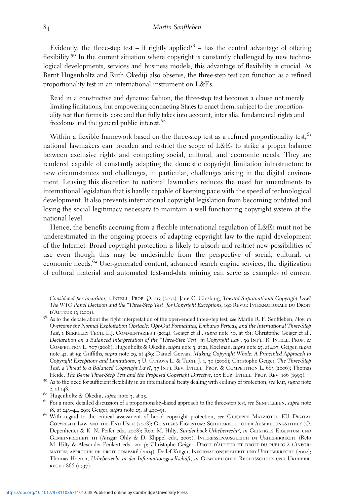Evidently, the three-step test – if rightly applied<sup>58</sup> – has the central advantage of offering flexibility.<sup>59</sup> In the current situation where copyright is constantly challenged by new technological developments, services and business models, this advantage of flexibility is crucial. As Bernt Hugenholtz and Ruth Okediji also observe, the three-step test can function as a refined proportionality test in an international instrument on L&Es:

Read in a constructive and dynamic fashion, the three-step test becomes a clause not merely limiting limitations, but empowering contracting States to enact them, subject to the proportionality test that forms its core and that fully takes into account, inter alia, fundamental rights and freedoms and the general public interest.<sup>60</sup>

Within a flexible framework based on the three-step test as a refined proportionality test,<sup>61</sup> national lawmakers can broaden and restrict the scope of L&Es to strike a proper balance between exclusive rights and competing social, cultural, and economic needs. They are rendered capable of constantly adapting the domestic copyright limitation infrastructure to new circumstances and challenges, in particular, challenges arising in the digital environment. Leaving this discretion to national lawmakers reduces the need for amendments to international legislation that is hardly capable of keeping pace with the speed of technological development. It also prevents international copyright legislation from becoming outdated and losing the social legitimacy necessary to maintain a well-functioning copyright system at the national level.

Hence, the benefits accruing from a flexible international regulation of L&Es must not be underestimated in the ongoing process of adapting copyright law to the rapid development of the Internet. Broad copyright protection is likely to absorb and restrict new possibilities of use even though this may be undesirable from the perspective of social, cultural, or economic needs.<sup>62</sup> User-generated content, advanced search engine services, the digitization of cultural material and automated text-and-data mining can serve as examples of current

Considered per incuriam, 2 INTELL. PROP. Q. 213 (2002); Jane C. Ginsburg, Toward Supranational Copyright Law? The WTO Panel Decision and the "Three-Step Test" for Copyright Exceptions, 190 REVUE INTERNATIONALE DU DROIT D'AUTEUR 13 (2001).

<sup>&</sup>lt;sup>58</sup> As to the debate about the right interpretation of the open-ended three-step test, see Martin R. F. Senftleben, How to Overcome the Normal Exploitation Obstacle: Opt-Out Formalities, Embargo Periods, and the International Three-Step Test, 1 Berkeley Tech. L.J. Commentaries 1 (2014). Geiger et al., supra note 30, at 581; Christophe Geiger et al., Declaration on a Balanced Interpretation of the "Three-Step Test" in Copyright Law, 39 Int'l. R. INTELL. PROP. & COMPETITION L. 707 (2008); Hugenholtz & Okediji, supra note 3, at 21; Koelman, supra note 25, at 407; Geiger, supra note 42, at 19; Griffiths, supra note 29, at 489; Daniel Gervais, Making Copyright Whole: A Principled Approach to Copyright Exceptions and Limitations, 3 U. OTTAWA L. & TECH. J. 1, 30 (2008); Christophe Geiger, The Three-Step Test, a Threat to a Balanced Copyright Law?, 37 INT'L REV. INTELL. PROP. & COMPETITION L. 683 (2006); Thomas<br>Heide, The Berne Three-Step Test and the Proposed Copyright Directive, 105 EUR. INTELL. PROP. REV. 106 (1999).

<sup>&</sup>lt;sup>59</sup> As to the need for sufficient flexibility in an international treaty dealing with ceilings of protection, see Kur, supra note 2, at 148.<br><sup>60</sup> Hugenholtz & Okediji, su*pra* note 3, at 25.<br><sup>61</sup> For a more detailed discussion of a proportionality-based approach to the three-step test, see SENFTLEBEN, su*pra* note

<sup>18,</sup> at 243–44, 290; Geiger, supra note 25, at 490–91.<br><sup>62</sup> With regard to the critical assessment of broad copyright protection, see GIUSEPPE MAZZIOTTI, EU DIGITAL

Copyright Law and the End-User (2008); Geistiges Eigentum: Schutzrecht oder Ausbeutungstitel? (O. Depenheuer & K. N. Peifer eds., 2008); Reto M. Hilty, Sündenbock Urheberrecht?, in GEISTIGES EIGENTUM UND GEMEINFREIHEIT 111 (Ansgar Ohly & D. Klippel eds., 2007); INTERESSENAUSGLEICH IM URHEBERRECHT (Reto M. Hilty & Alexander Peukert eds., 2004); Christophe Geiger, DROIT D'AUTEUR ET DROIT DU PUBLIC À L'INFORmation, approche de droit compare´ (2004); Detlef Kröger, Informationsfreiheit und Urheberrecht (2002); Thomas Hoeren, Urheberrecht in der Informationsgesellschaft, in GEWERBLICHER RECHTSSCHUTZ UND URHEBER-RECHT 866 (1997).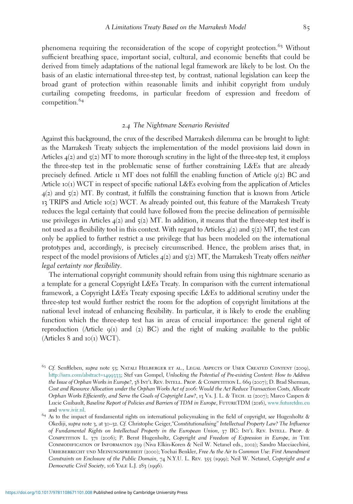phenomena requiring the reconsideration of the scope of copyright protection.<sup>63</sup> Without sufficient breathing space, important social, cultural, and economic benefits that could be derived from timely adaptations of the national legal framework are likely to be lost. On the basis of an elastic international three-step test, by contrast, national legislation can keep the broad grant of protection within reasonable limits and inhibit copyright from unduly curtailing competing freedoms, in particular freedom of expression and freedom of competition.<sup>64</sup>

### *2*.*4* The Nightmare Scenario Revisited

Against this background, the crux of the described Marrakesh dilemma can be brought to light: as the Marrakesh Treaty subjects the implementation of the model provisions laid down in Articles  $4(2)$  and  $5(2)$  MT to more thorough scrutiny in the light of the three-step test, it employs the three-step test in the problematic sense of further constraining L&Es that are already precisely defined. Article 11 MT does not fulfill the enabling function of Article  $q(z)$  BC and Article 10(1) WCT in respect of specific national L&Es evolving from the application of Articles  $4(2)$  and  $5(2)$  MT. By contrast, it fulfills the constraining function that is known from Article 13 TRIPS and Article 10(2) WCT. As already pointed out, this feature of the Marrakesh Treaty reduces the legal certainty that could have followed from the precise delineation of permissible use privileges in Articles  $4(2)$  and  $5(2)$  MT. In addition, it means that the three-step test itself is not used as a flexibility tool in this context. With regard to Articles  $4(2)$  and  $5(2)$  MT, the test can only be applied to further restrict a use privilege that has been modeled on the international prototypes and, accordingly, is precisely circumscribed. Hence, the problem arises that, in respect of the model provisions of Articles  $4(2)$  and  $5(2)$  MT, the Marrakesh Treaty offers *neither* legal certainty nor flexibility.

The international copyright community should refrain from using this nightmare scenario as a template for a general Copyright L&Es Treaty. In comparison with the current international framework, a Copyright L&Es Treaty exposing specific L&Es to additional scrutiny under the three-step test would further restrict the room for the adoption of copyright limitations at the national level instead of enhancing flexibility. In particular, it is likely to erode the enabling function which the three-step test has in areas of crucial importance: the general right of reproduction (Article  $q(1)$  and  $q(2)$  BC) and the right of making available to the public (Articles 8 and 10(1) WCT).

 $^{63}$  Cf. Senftleben, supra note 55; NATALI HELBERGER ET AL., LEGAL ASPECTS OF USER CREATED CONTENT (2009), [http://ssrn.com/abstract=](http://ssrn.com/abstract=1499333)1499333; Stef van Gompel, Unlocking the Potential of Pre-existing Content: How to Address the Issue of Orphan Works in Europe?, 38 Int'l Rev. Intell. Prop. & Competition L. 669 (2007); D. Brad Sherman, Cost and Resource Allocation under the Orphan Works Act of *2006*: Would the Act Reduce Transaction Costs, Allocate Orphan Works Efficiently, and Serve the Goals of Copyright Law?, 13 VA. J. L. & TECH. 12 (2007); Marco Caspers & Lucie Guibault, Baseline Report of Policies and Barriers of TDM in Europe, FUTURETDM (2016), [www.futuretdm.eu](http://www.futuretdm.eu) and [www.ivir.nl](http://www.ivir.nl).<br><sup>64</sup> As to the impact of fundamental rights on international policymaking in the field of copyright, see Hugenholtz &

Okediji, supra note 3, at 30–32. Cf. Christophe Geiger,"Constitutionalising" Intellectual Property Law? The Influence of Fundamental Rights on Intellectual Property in the European Union, 37 IIC: INT'L REV. INTELL. PROP. & Competition L. 371 (2006); P. Bernt Hugenholtz, Copyright and Freedom of Expression in Europe, in The Commodification of Information 239 (Niva Elkin-Koren & Neil W. Netanel eds., 2002); Sandro Macciacchini, Urheberrecht und Meinungsfreiheit (2000); Yochai Benkler, Free As the Air to Common Use: First Amendment Constraints on Enclosure of the Public Domain, 74 N.Y.U. L. Rev. 355 (1999); Neil W. Netanel, Copyright and a Democratic Civil Society, 106 YALE L.J. 283 (1996).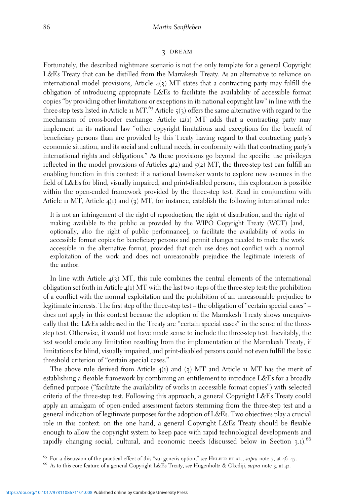#### 3 dream

Fortunately, the described nightmare scenario is not the only template for a general Copyright L&Es Treaty that can be distilled from the Marrakesh Treaty. As an alternative to reliance on international model provisions, Article  $4(3)$  MT states that a contracting party may fulfill the obligation of introducing appropriate L&Es to facilitate the availability of accessible format copies "by providing other limitations or exceptions in its national copyright law" in line with the three-step tests listed in Article 11 MT.<sup>65</sup> Article  $\zeta(3)$  offers the same alternative with regard to the mechanism of cross-border exchange. Article 12(1) MT adds that a contracting party may implement in its national law "other copyright limitations and exceptions for the benefit of beneficiary persons than are provided by this Treaty having regard to that contracting party's economic situation, and its social and cultural needs, in conformity with that contracting party's international rights and obligations." As these provisions go beyond the specific use privileges reflected in the model provisions of Articles  $4(2)$  and  $5(2)$  MT, the three-step test can fulfill an enabling function in this context: if a national lawmaker wants to explore new avenues in the field of L&Es for blind, visually impaired, and print-disabled persons, this exploration is possible within the open-ended framework provided by the three-step test. Read in conjunction with Article 11 MT, Article  $4(1)$  and (3) MT, for instance, establish the following international rule:

It is not an infringement of the right of reproduction, the right of distribution, and the right of making available to the public as provided by the WIPO Copyright Treaty (WCT) [and, optionally, also the right of public performance], to facilitate the availability of works in accessible format copies for beneficiary persons and permit changes needed to make the work accessible in the alternative format, provided that such use does not conflict with a normal exploitation of the work and does not unreasonably prejudice the legitimate interests of the author.

In line with Article  $4(3)$  MT, this rule combines the central elements of the international obligation set forth in Article  $4(1)$  MT with the last two steps of the three-step test: the prohibition of a conflict with the normal exploitation and the prohibition of an unreasonable prejudice to legitimate interests. The first step of the three-step test – the obligation of "certain special cases" – does not apply in this context because the adoption of the Marrakesh Treaty shows unequivocally that the L&Es addressed in the Treaty are "certain special cases" in the sense of the threestep test. Otherwise, it would not have made sense to include the three-step test. Inevitably, the test would erode any limitation resulting from the implementation of the Marrakesh Treaty, if limitations for blind, visually impaired, and print-disabled persons could not even fulfill the basic threshold criterion of "certain special cases."

The above rule derived from Article  $4(1)$  and  $(3)$  MT and Article 11 MT has the merit of establishing a flexible framework by combining an entitlement to introduce L&Es for a broadly defined purpose ("facilitate the availability of works in accessible format copies") with selected criteria of the three-step test. Following this approach, a general Copyright L&Es Treaty could apply an amalgam of open-ended assessment factors stemming from the three-step test and a general indication of legitimate purposes for the adoption of L&Es. Two objectives play a crucial role in this context: on the one hand, a general Copyright L&Es Treaty should be flexible enough to allow the copyright system to keep pace with rapid technological developments and rapidly changing social, cultural, and economic needs (discussed below in Section  $3.1$ ).<sup>66</sup>

<sup>&</sup>lt;sup>65</sup> For a discussion of the practical effect of this "sui generis option," see HELFER ET AL., supra note 7, at 46–47.<br><sup>66</sup> As to this core feature of a general Copyright L&Es Treaty, see Hugenholtz & Okediji, supra note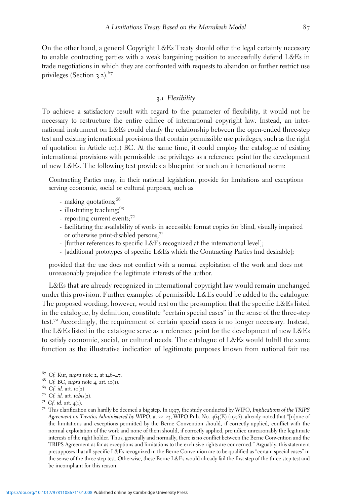On the other hand, a general Copyright L&Es Treaty should offer the legal certainty necessary to enable contracting parties with a weak bargaining position to successfully defend L&Es in trade negotiations in which they are confronted with requests to abandon or further restrict use privileges (Section  $3.2$ ).<sup>67</sup>

## *3*.*1* Flexibility

To achieve a satisfactory result with regard to the parameter of flexibility, it would not be necessary to restructure the entire edifice of international copyright law. Instead, an international instrument on L&Es could clarify the relationship between the open-ended three-step test and existing international provisions that contain permissible use privileges, such as the right of quotation in Article 10(1) BC. At the same time, it could employ the catalogue of existing international provisions with permissible use privileges as a reference point for the development of new L&Es. The following text provides a blueprint for such an international norm:

Contracting Parties may, in their national legislation, provide for limitations and exceptions serving economic, social or cultural purposes, such as

- making quotations:<sup>68</sup>
- illustrating teaching;<sup>69</sup>
- reporting current events;<sup>70</sup>
- facilitating the availability of works in accessible format copies for blind, visually impaired or otherwise print-disabled persons;<sup>71</sup>
- [further references to specific L&Es recognized at the international level];
- [additional prototypes of specific L&Es which the Contracting Parties find desirable];

provided that the use does not conflict with a normal exploitation of the work and does not unreasonably prejudice the legitimate interests of the author.

L&Es that are already recognized in international copyright law would remain unchanged under this provision. Further examples of permissible L&Es could be added to the catalogue. The proposed wording, however, would rest on the presumption that the specific L&Es listed in the catalogue, by definition, constitute "certain special cases" in the sense of the three-step test.<sup>72</sup> Accordingly, the requirement of certain special cases is no longer necessary. Instead, the L&Es listed in the catalogue serve as a reference point for the development of new L&Es to satisfy economic, social, or cultural needs. The catalogue of L&Es would fulfill the same function as the illustrative indication of legitimate purposes known from national fair use

- 
- 67 Cf. Kur, *supra* note 2, at  $146-47$ .<br>68 Cf. BC, *supra* note 4, art. 10(1).

<sup>&</sup>lt;sup>69</sup> Cf. id. art. 10(2)<br><sup>70</sup> Cf. id. art. 10bis(2).<br><sup>71</sup> Cf. id. art. 4(1). This clarification can hardly be deemed a big step. In 1997, the study conducted by WIPO, Implications of the TRIPS Agreement on Treaties Administered by WIPO, at 22–23, WIPO Pub. No. 464(E) (1996), already noted that "[n]one of the limitations and exceptions permitted by the Berne Convention should, if correctly applied, conflict with the normal exploitation of the work and none of them should, if correctly applied, prejudice unreasonably the legitimate interests of the right holder. Thus, generally and normally, there is no conflict between the Berne Convention and the TRIPS Agreement as far as exceptions and limitations to the exclusive rights are concerned." Arguably, this statement presupposes that all specific L&Es recognized in the Berne Convention are to be qualified as "certain special cases" in the sense of the three-step test. Otherwise, these Berne L&Es would already fail the first step of the three-step test and be incompliant for this reason.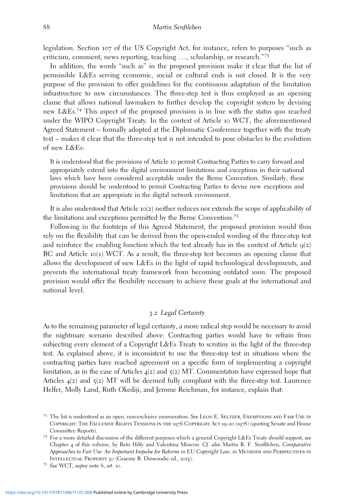legislation. Section 107 of the US Copyright Act, for instance, refers to purposes "such as criticism, comment, news reporting, teaching ..., scholarship, or research." 73

In addition, the words "such as" in the proposed provision make it clear that the list of permissible L&Es serving economic, social or cultural ends is not closed. It is the very purpose of the provision to offer guidelines for the continuous adaptation of the limitation infrastructure to new circumstances. The three-step test is thus employed as an opening clause that allows national lawmakers to further develop the copyright system by devising new L&Es.<sup>74</sup> This aspect of the proposed provision is in line with the status quo reached under the WIPO Copyright Treaty. In the context of Article 10 WCT, the aforementioned Agreed Statement – formally adopted at the Diplomatic Conference together with the treaty text – makes it clear that the three-step test is not intended to pose obstacles to the evolution of new L&Es:

It is understood that the provisions of Article 10 permit Contracting Parties to carry forward and appropriately extend into the digital environment limitations and exceptions in their national laws which have been considered acceptable under the Berne Convention. Similarly, these provisions should be understood to permit Contracting Parties to devise new exceptions and limitations that are appropriate in the digital network environment.

It is also understood that Article 10(2) neither reduces nor extends the scope of applicability of the limitations and exceptions permitted by the Berne Convention.<sup>75</sup>

Following in the footsteps of this Agreed Statement, the proposed provision would thus rely on the flexibility that can be derived from the open-ended wording of the three-step test and reinforce the enabling function which the test already has in the context of Article  $q(z)$ BC and Article 10(1) WCT. As a result, the three-step test becomes an opening clause that allows the development of new L&Es in the light of rapid technological developments, and prevents the international treaty framework from becoming outdated soon. The proposed provision would offer the flexibility necessary to achieve these goals at the international and national level.

## *3*.*2* Legal Certainty

As to the remaining parameter of legal certainty, a more radical step would be necessary to avoid the nightmare scenario described above: Contracting parties would have to refrain from subjecting every element of a Copyright L&Es Treaty to scrutiny in the light of the three-step test. As explained above, it is inconsistent to use the three-step test in situations where the contracting parties have reached agreement on a specific form of implementing a copyright limitation, as in the case of Articles  $4(2)$  and  $5(2)$  MT. Commentators have expressed hope that Articles 4(2) and 5(2) MT will be deemed fully compliant with the three-step test. Laurence Helfer, Molly Land, Ruth Okediji, and Jerome Reichman, for instance, explain that:

<sup>&</sup>lt;sup>73</sup> The list is understood as an open, non-exclusive enumeration. See LEON E. SELTZER, EXEMPTIONS AND FAIR USE IN COPYRIGHT: THE EXCLUSIVE RIGHTS TENSIONS IN THE 1976 COPYRIGHT ACT 19-20 (1978) (quoting Senate and House Committee Reports).<br><sup>74</sup> For a more detailed discussion of the different purposes which a general Copyright L&Es Treaty should support, see

Chapter 4 of this volume, by Reto Hilty and Valentina Moscon. Cf. also Martin R. F. Senftleben, Comparative Approaches to Fair Use: An Important Impulse for Reforms in EU Copyright Law, in METHODS AND PERSPECTIVES IN Intellectual Property 30 (Graeme B. Dinwoodie ed., <sup>2013</sup>). <sup>75</sup> See WCT, supra note <sup>6</sup>, art. <sup>10</sup>.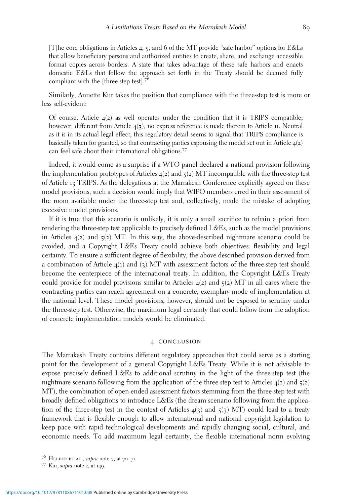[T]he core obligations in Articles 4, 5, and 6 of the MT provide "safe harbor" options for E&Ls that allow beneficiary persons and authorized entities to create, share, and exchange accessible format copies across borders. A state that takes advantage of these safe harbors and enacts domestic E&Ls that follow the approach set forth in the Treaty should be deemed fully compliant with the [three-step test].<sup>76</sup>

Similarly, Annette Kur takes the position that compliance with the three-step test is more or less self-evident:

Of course, Article  $4(2)$  as well operates under the condition that it is TRIPS compatible; however, different from Article  $4(3)$ , no express reference is made therein to Article 11. Neutral as it is in its actual legal effect, this regulatory detail seems to signal that TRIPS compliance is basically taken for granted, so that contracting parties espousing the model set out in Article  $\mathfrak{q}(2)$ can feel safe about their international obligations.<sup>77</sup>

Indeed, it would come as a surprise if a WTO panel declared a national provision following the implementation prototypes of Articles  $4(2)$  and  $5(2)$  MT incompatible with the three-step test of Article 13 TRIPS. As the delegations at the Marrakesh Conference explicitly agreed on these model provisions, such a decision would imply that WIPO members erred in their assessment of the room available under the three-step test and, collectively, made the mistake of adopting excessive model provisions.

If it is true that this scenario is unlikely, it is only a small sacrifice to refrain a priori from rendering the three-step test applicable to precisely defined L&Es, such as the model provisions in Articles  $4(2)$  and  $5(2)$  MT. In this way, the above-described nightmare scenario could be avoided, and a Copyright L&Es Treaty could achieve both objectives: flexibility and legal certainty. To ensure a sufficient degree of flexibility, the above-described provision derived from a combination of Article  $4(1)$  and  $(3)$  MT with assessment factors of the three-step test should become the centerpiece of the international treaty. In addition, the Copyright L&Es Treaty could provide for model provisions similar to Articles  $4(2)$  and  $5(2)$  MT in all cases where the contracting parties can reach agreement on a concrete, exemplary mode of implementation at the national level. These model provisions, however, should not be exposed to scrutiny under the three-step test. Otherwise, the maximum legal certainty that could follow from the adoption of concrete implementation models would be eliminated.

#### 4 CONCLUSION

The Marrakesh Treaty contains different regulatory approaches that could serve as a starting point for the development of a general Copyright L&Es Treaty. While it is not advisable to expose precisely defined L&Es to additional scrutiny in the light of the three-step test (the nightmare scenario following from the application of the three-step test to Articles  $4(2)$  and  $5(2)$ MT), the combination of open-ended assessment factors stemming from the three-step test with broadly defined obligations to introduce L&Es (the dream scenario following from the application of the three-step test in the context of Articles  $4(3)$  and  $5(3)$  MT) could lead to a treaty framework that is flexible enough to allow international and national copyright legislation to keep pace with rapid technological developments and rapidly changing social, cultural, and economic needs. To add maximum legal certainty, the flexible international norm evolving

<sup>&</sup>lt;sup>76</sup> HELFER ET AL., supra note 7, at  $70-71$ .<br><sup>77</sup> Kur, supra note 2, at 149.